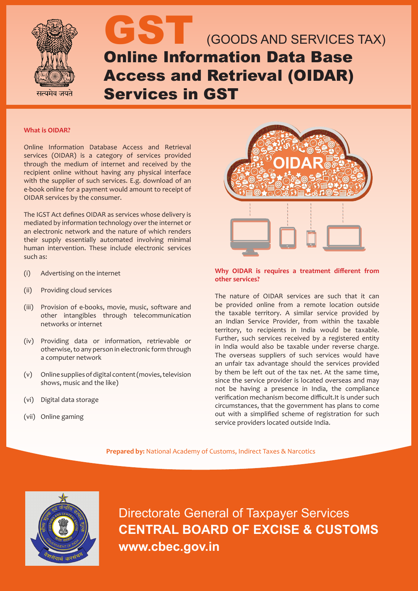

#### **What is OIDAR?**

Online Information Database Access and Retrieval services (OIDAR) is a category of services provided through the medium of internet and received by the recipient online without having any physical interface with the supplier of such services. E.g. download of an e-book online for a payment would amount to receipt of OIDAR services by the consumer.

The IGST Act defines OIDAR as services whose delivery is mediated by information technology over the internet or an electronic network and the nature of which renders their supply essentially automated involving minimal human intervention. These include electronic services such as:

- (i) Advertising on the internet
- (ii) Providing cloud services
- (iii) Provision of e-books, movie, music, software and other intangibles through telecommunication networks or internet
- (iv) Providing data or information, retrievable or otherwise, to any person in electronic form through a computer network
- (v) Online supplies of digital content (movies, television shows, music and the like)
- (vi) Digital data storage
- (vii) Online gaming



### **Why OIDAR is requires a treatment different from other services?**

The nature of OIDAR services are such that it can be provided online from a remote location outside the taxable territory. A similar service provided by an Indian Service Provider, from within the taxable territory, to recipients in India would be taxable. Further, such services received by a registered entity in India would also be taxable under reverse charge. The overseas suppliers of such services would have an unfair tax advantage should the services provided by them be left out of the tax net. At the same time, since the service provider is located overseas and may not be having a presence in India, the compliance verification mechanism become difficult.It is under such circumstances, that the government has plans to come out with a simplified scheme of registration for such service providers located outside India.

**Prepared by:** National Academy of Customs, Indirect Taxes & Narcotics



Directorate General of Taxpayer Services **CENTRAL BOARD OF EXCISE & CUSTOMS www.cbec.gov.in**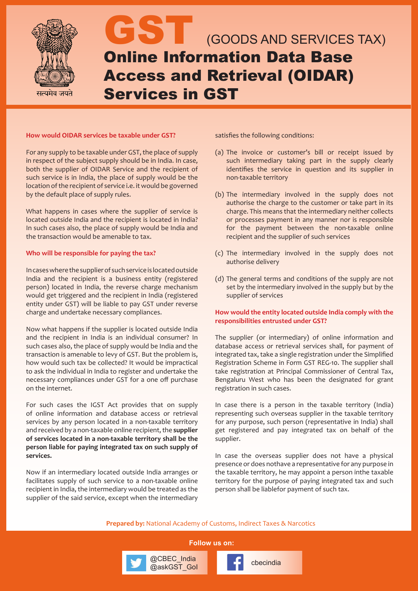

#### **How would OIDAR services be taxable under GST?**

For any supply to be taxable under GST, the place of supply in respect of the subject supply should be in India. In case, both the supplier of OIDAR Service and the recipient of such service is in India, the place of supply would be the location of the recipient of service i.e. it would be governed by the default place of supply rules.

What happens in cases where the supplier of service is located outside India and the recipient is located in India? In such cases also, the place of supply would be India and the transaction would be amenable to tax.

#### **Who will be responsible for paying the tax?**

In cases where the supplier of such service is located outside India and the recipient is a business entity (registered person) located in India, the reverse charge mechanism would get triggered and the recipient in India (registered entity under GST) will be liable to pay GST under reverse charge and undertake necessary compliances.

Now what happens if the supplier is located outside India and the recipient in India is an individual consumer? In such cases also, the place of supply would be India and the transaction is amenable to levy of GST. But the problem is, how would such tax be collected? It would be impractical to ask the individual in India to register and undertake the necessary compliances under GST for a one off purchase on the internet.

For such cases the IGST Act provides that on supply of online information and database access or retrieval services by any person located in a non-taxable territory and received by a non-taxable online recipient, the **supplier of services located in a non-taxable territory shall be the person liable for paying integrated tax on such supply of services.**

Now if an intermediary located outside India arranges or facilitates supply of such service to a non-taxable online recipient in India, the intermediary would be treated as the supplier of the said service, except when the intermediary

satisfies the following conditions:

- (a) The invoice or customer's bill or receipt issued by such intermediary taking part in the supply clearly identifies the service in question and its supplier in non-taxable territory
- (b) The intermediary involved in the supply does not authorise the charge to the customer or take part in its charge. This means that the intermediary neither collects or processes payment in any manner nor is responsible for the payment between the non-taxable online recipient and the supplier of such services
- (c) The intermediary involved in the supply does not authorise delivery
- (d) The general terms and conditions of the supply are not set by the intermediary involved in the supply but by the supplier of services

### **How would the entity located outside India comply with the responsibilities entrusted under GST?**

The supplier (or intermediary) of online information and database access or retrieval services shall, for payment of integrated tax, take a single registration under the Simplified Registration Scheme in Form GST REG-10. The supplier shall take registration at Principal Commissioner of Central Tax, Bengaluru West who has been the designated for grant registration in such cases.

In case there is a person in the taxable territory (India) representing such overseas supplier in the taxable territory for any purpose, such person (representative in India) shall get registered and pay integrated tax on behalf of the supplier.

In case the overseas supplier does not have a physical presence or does nothave a representative for any purpose in the taxable territory, he may appoint a person inthe taxable territory for the purpose of paying integrated tax and such person shall be liablefor payment of such tax.

**Prepared by:** National Academy of Customs, Indirect Taxes & Narcotics

**Follow us on:**

@cBEC\_india<br>@askGST\_GoI contract cbecindia

@CBEC\_India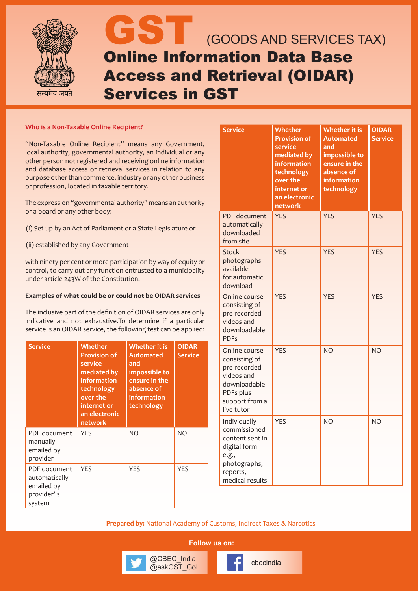

### **Who is a Non-Taxable Online Recipient?**

"Non-Taxable Online Recipient" means any Government, local authority, governmental authority, an individual or any other person not registered and receiving online information and database access or retrieval services in relation to any purpose other than commerce, industry or any other business or profession, located in taxable territory.

The expression "governmental authority" means an authority or a board or any other body:

(i) Set up by an Act of Parliament or a State Legislature or

(ii) established by any Government

with ninety per cent or more participation by way of equity or control, to carry out any function entrusted to a municipality under article 243W of the Constitution.

#### **Examples of what could be or could not be OIDAR services**

The inclusive part of the definition of OIDAR services are only indicative and not exhaustive.To determine if a particular service is an OIDAR service, the following test can be applied:

| <b>Service</b>                                                      | Whether<br><b>Provision of</b><br>service<br>mediated by<br>information<br>technology<br>over the<br>internet or<br>an electronic<br>network | Whether it is<br><b>Automated</b><br>and<br>impossible to<br>ensure in the<br>absence of<br>information<br>technology | <b>OIDAR</b><br><b>Service</b> |
|---------------------------------------------------------------------|----------------------------------------------------------------------------------------------------------------------------------------------|-----------------------------------------------------------------------------------------------------------------------|--------------------------------|
| PDF document<br>manually<br>emailed by<br>provider                  | <b>YFS</b>                                                                                                                                   | N <sub>O</sub>                                                                                                        | N <sub>O</sub>                 |
| PDF document<br>automatically<br>emailed by<br>provider's<br>system | <b>YFS</b>                                                                                                                                   | <b>YES</b>                                                                                                            | <b>YES</b>                     |

| <b>Service</b>                                                                                                            | <b>Whether</b><br><b>Provision of</b><br>service<br>mediated by<br>information<br>technology<br>over the<br>internet or<br>an electronic<br>network | <b>Whether it is</b><br><b>Automated</b><br>and<br>impossible to<br>ensure in the<br>absence of<br><b>information</b><br>technology | <b>OIDAR</b><br><b>Service</b> |
|---------------------------------------------------------------------------------------------------------------------------|-----------------------------------------------------------------------------------------------------------------------------------------------------|-------------------------------------------------------------------------------------------------------------------------------------|--------------------------------|
| <b>PDF</b> document<br>automatically<br>downloaded<br>from site                                                           | <b>YES</b>                                                                                                                                          | <b>YES</b>                                                                                                                          | <b>YES</b>                     |
| Stock<br>photographs<br>available<br>for automatic<br>download                                                            | <b>YES</b>                                                                                                                                          | <b>YES</b>                                                                                                                          | <b>YES</b>                     |
| Online course<br>consisting of<br>pre-recorded<br>videos and<br>downloadable<br><b>PDFs</b>                               | <b>YES</b>                                                                                                                                          | <b>YES</b>                                                                                                                          | <b>YES</b>                     |
| Online course<br>consisting of<br>pre-recorded<br>videos and<br>downloadable<br>PDFs plus<br>support from a<br>live tutor | <b>YES</b>                                                                                                                                          | NO                                                                                                                                  | <b>NO</b>                      |
| Individually<br>commissioned<br>content sent in<br>digital form<br>e.g.,<br>photographs,<br>reports,<br>medical results   | <b>YES</b>                                                                                                                                          | NO                                                                                                                                  | N <sub>O</sub>                 |

**Prepared by:** National Academy of Customs, Indirect Taxes & Narcotics

**Follow us on:**

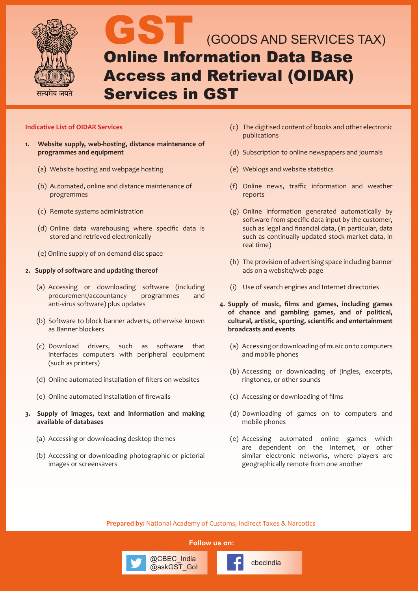

### **Indicative List of OIDAR Services**

- **1. Website supply, web-hosting, distance maintenance of programmes and equipment**
	- (a) Website hosting and webpage hosting
	- (b) Automated, online and distance maintenance of programmes
	- (c) Remote systems administration
	- (d) Online data warehousing where specific data is stored and retrieved electronically
	- (e) Online supply of on-demand disc space

#### **2. Supply of software and updating thereof**

- (a) Accessing or downloading software (including procurement/accountancy programmes and anti-virus software) plus updates
- (b) Software to block banner adverts, otherwise known as Banner blockers
- (c) Download drivers, such as software that interfaces computers with peripheral equipment (such as printers)
- (d) Online automated installation of filters on websites
- (e) Online automated installation of firewalls
- **3. Supply of images, text and information and making available of databases**
	- (a) Accessing or downloading desktop themes
	- (b) Accessing or downloading photographic or pictorial images or screensavers
- (c) The digitised content of books and other electronic publications
- (d) Subscription to online newspapers and journals
- (e) Weblogs and website statistics
- (f) Online news, traffic information and weather reports
- (g) Online information generated automatically by software from specific data input by the customer, such as legal and financial data, (in particular, data such as continually updated stock market data, in real time)
- (h) The provision of advertising space including banner ads on a website/web page
- (i) Use of search engines and Internet directories
- **4. Supply of music, films and games, including games of chance and gambling games, and of political, cultural, artistic, sporting, scientific and entertainment broadcasts and events**
	- (a) Accessing or downloading of music on to computers and mobile phones
	- (b) Accessing or downloading of jingles, excerpts, ringtones, or other sounds
	- (c) Accessing or downloading of films
	- (d) Downloading of games on to computers and mobile phones
	- (e) Accessing automated online games which are dependent on the Internet, or other similar electronic networks, where players are geographically remote from one another

**Prepared by:** National Academy of Customs, Indirect Taxes & Narcotics

**Follow us on:**

@cbEc\_india<br>@askGST\_GoI change cbecindia

@CBEC\_India